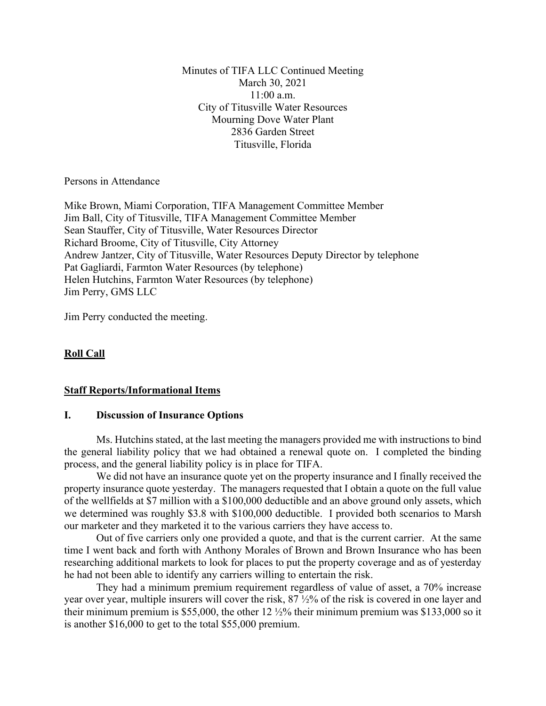Minutes of TIFA LLC Continued Meeting March 30, 2021 11:00 a.m. City of Titusville Water Resources Mourning Dove Water Plant 2836 Garden Street Titusville, Florida

Persons in Attendance

Mike Brown, Miami Corporation, TIFA Management Committee Member Jim Ball, City of Titusville, TIFA Management Committee Member Sean Stauffer, City of Titusville, Water Resources Director Richard Broome, City of Titusville, City Attorney Andrew Jantzer, City of Titusville, Water Resources Deputy Director by telephone Pat Gagliardi, Farmton Water Resources (by telephone) Helen Hutchins, Farmton Water Resources (by telephone) Jim Perry, GMS LLC

Jim Perry conducted the meeting.

# **Roll Call**

### **Staff Reports/Informational Items**

# **I. Discussion of Insurance Options**

Ms. Hutchins stated, at the last meeting the managers provided me with instructions to bind the general liability policy that we had obtained a renewal quote on. I completed the binding process, and the general liability policy is in place for TIFA.

We did not have an insurance quote yet on the property insurance and I finally received the property insurance quote yesterday. The managers requested that I obtain a quote on the full value of the wellfields at \$7 million with a \$100,000 deductible and an above ground only assets, which we determined was roughly \$3.8 with \$100,000 deductible. I provided both scenarios to Marsh our marketer and they marketed it to the various carriers they have access to.

Out of five carriers only one provided a quote, and that is the current carrier. At the same time I went back and forth with Anthony Morales of Brown and Brown Insurance who has been researching additional markets to look for places to put the property coverage and as of yesterday he had not been able to identify any carriers willing to entertain the risk.

They had a minimum premium requirement regardless of value of asset, a 70% increase year over year, multiple insurers will cover the risk, 87 ½% of the risk is covered in one layer and their minimum premium is \$55,000, the other 12 ½% their minimum premium was \$133,000 so it is another \$16,000 to get to the total \$55,000 premium.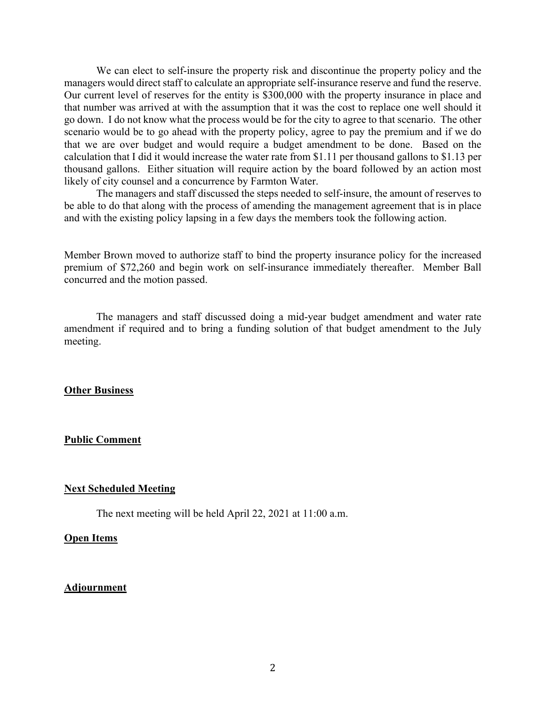We can elect to self-insure the property risk and discontinue the property policy and the managers would direct staff to calculate an appropriate self-insurance reserve and fund the reserve. Our current level of reserves for the entity is \$300,000 with the property insurance in place and that number was arrived at with the assumption that it was the cost to replace one well should it go down. I do not know what the process would be for the city to agree to that scenario. The other scenario would be to go ahead with the property policy, agree to pay the premium and if we do that we are over budget and would require a budget amendment to be done. Based on the calculation that I did it would increase the water rate from \$1.11 per thousand gallons to \$1.13 per thousand gallons. Either situation will require action by the board followed by an action most likely of city counsel and a concurrence by Farmton Water.

The managers and staff discussed the steps needed to self-insure, the amount of reserves to be able to do that along with the process of amending the management agreement that is in place and with the existing policy lapsing in a few days the members took the following action.

Member Brown moved to authorize staff to bind the property insurance policy for the increased premium of \$72,260 and begin work on self-insurance immediately thereafter. Member Ball concurred and the motion passed.

The managers and staff discussed doing a mid-year budget amendment and water rate amendment if required and to bring a funding solution of that budget amendment to the July meeting.

### **Other Business**

## **Public Comment**

#### **Next Scheduled Meeting**

The next meeting will be held April 22, 2021 at 11:00 a.m.

#### **Open Items**

# **Adjournment**